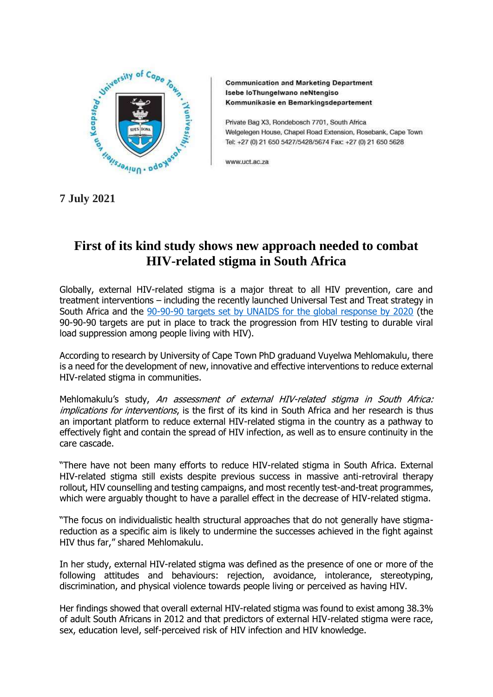

**Communication and Marketing Department** Isebe loThungelwano neNtengiso Kommunikasie en Bemarkingsdepartement

Private Bag X3, Rondebosch 7701, South Africa Welgelegen House, Chapel Road Extension, Rosebank, Cape Town Tel: +27 (0) 21 650 5427/5428/5674 Fax: +27 (0) 21 650 5628

www.uct.ac.za

**7 July 2021**

## **First of its kind study shows new approach needed to combat HIV-related stigma in South Africa**

Globally, external HIV-related stigma is a major threat to all HIV prevention, care and treatment interventions – including the recently launched Universal Test and Treat strategy in South Africa and the [90-90-90 targets set by UNAIDS for the global response by 2020](https://www.unaids.org/en/resources/909090) (the 90-90-90 targets are put in place to track the progression from HIV testing to durable viral load suppression among people living with HIV).

According to research by University of Cape Town PhD graduand Vuyelwa Mehlomakulu, there is a need for the development of new, innovative and effective interventions to reduce external HIV-related stigma in communities.

Mehlomakulu's study, An assessment of external HIV-related stigma in South Africa: implications for interventions, is the first of its kind in South Africa and her research is thus an important platform to reduce external HIV-related stigma in the country as a pathway to effectively fight and contain the spread of HIV infection, as well as to ensure continuity in the care cascade.

"There have not been many efforts to reduce HIV-related stigma in South Africa. External HIV-related stigma still exists despite previous success in massive anti-retroviral therapy rollout, HIV counselling and testing campaigns, and most recently test-and-treat programmes, which were arguably thought to have a parallel effect in the decrease of HIV-related stigma.

"The focus on individualistic health structural approaches that do not generally have stigmareduction as a specific aim is likely to undermine the successes achieved in the fight against HIV thus far," shared Mehlomakulu.

In her study, external HIV-related stigma was defined as the presence of one or more of the following attitudes and behaviours: rejection, avoidance, intolerance, stereotyping, discrimination, and physical violence towards people living or perceived as having HIV.

Her findings showed that overall external HIV-related stigma was found to exist among 38.3% of adult South Africans in 2012 and that predictors of external HIV-related stigma were race, sex, education level, self-perceived risk of HIV infection and HIV knowledge.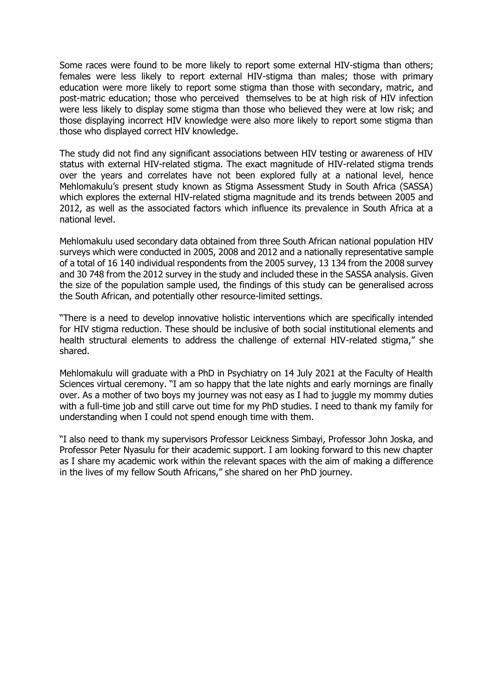Some races were found to be more likely to report some external HIV-stigma than others; females were less likely to report external HIV-stigma than males; those with primary education were more likely to report some stigma than those with secondary, matric, and post-matric education; those who perceived themselves to be at high risk of HIV infection were less likely to display some stigma than those who believed they were at low risk; and those displaying incorrect HIV knowledge were also more likely to report some stigma than those who displayed correct HIV knowledge.

The study did not find any significant associations between HIV testing or awareness of HIV status with external HIV-related stigma. The exact magnitude of HIV-related stigma trends over the years and correlates have not been explored fully at a national level, hence Mehlomakulu's present study known as Stigma Assessment Study in South Africa (SASSA) which explores the external HIV-related stigma magnitude and its trends between 2005 and 2012, as well as the associated factors which influence its prevalence in South Africa at a national level.

Mehlomakulu used secondary data obtained from three South African national population HIV surveys which were conducted in 2005, 2008 and 2012 and a nationally representative sample of a total of 16 140 individual respondents from the 2005 survey, 13 134 from the 2008 survey and 30 748 from the 2012 survey in the study and included these in the SASSA analysis. Given the size of the population sample used, the findings of this study can be generalised across the South African, and potentially other resource-limited settings.

"There is a need to develop innovative holistic interventions which are specifically intended for HIV stigma reduction. These should be inclusive of both social institutional elements and health structural elements to address the challenge of external HIV-related stigma," she shared.

Mehlomakulu will graduate with a PhD in Psychiatry on 14 July 2021 at the Faculty of Health Sciences virtual ceremony. "I am so happy that the late nights and early mornings are finally over. As a mother of two boys my journey was not easy as I had to juggle my mommy duties with a full-time job and still carve out time for my PhD studies. I need to thank my family for understanding when I could not spend enough time with them.

"I also need to thank my supervisors Professor Leickness Simbayi, Professor John Joska, and Professor Peter Nyasulu for their academic support. I am looking forward to this new chapter as I share my academic work within the relevant spaces with the aim of making a difference in the lives of my fellow South Africans," she shared on her PhD journey.